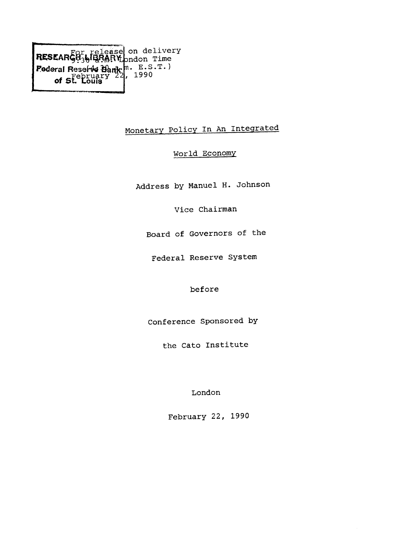of  $5f_{\text{c}}$  Louis<sup> $r$ </sup> **on delivery Dndon Time E.S.T. ) , 1990**

# **Monetary Policy In An Inteqrated**

# **World Economy**

**Address by Manuel H. Johnson**

**Vice Chairman**

**Board of Governors of the**

**Federal Reserve System**

**before**

**Conference Sponsored by**

**the Cato Institute**

**London**

**February 22, 1990**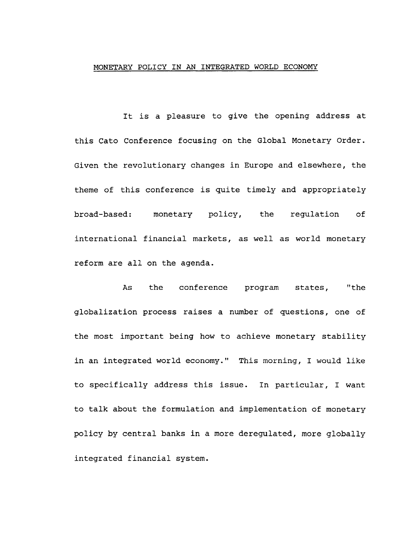## **MONETARY POLICY IN AN INTEGRATED WORLD ECONOMY**

**It is a pleasure to give the opening address at this Cato Conference focusing on the Global Monetary Order. Given the revolutionary changes in Europe and elsewhere, the theme of this conference is quite timely and appropriately broad-based: monetary policy, the regulation of international financial markets, as well as world monetary reform are all on the agenda.**

**As the conference program states, "the globalization process raises a number of questions, one of the most important being how to achieve monetary stability in an integrated world economy." This morning, I would like to specifically address this issue. In particular, I want to talk about the formulation and implementation of monetary policy by central banks in a more deregulated, more globally integrated financial system.**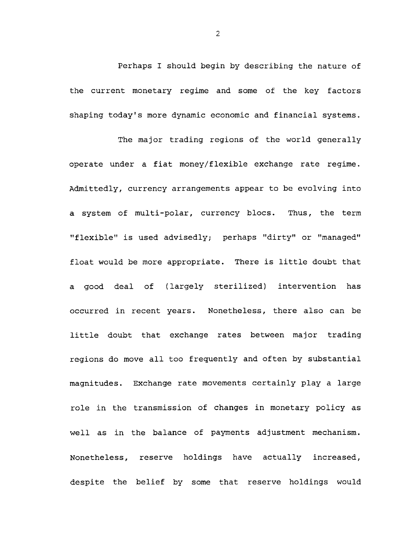**Perhaps I should begin by describing the nature of the current monetary regime and some of the key factors shaping today's more dynamic economic and financial systems.**

**The major trading regions of the world generally operate under a fiat money/flexible exchange rate regime. Admittedly, currency arrangements appear to be evolving into a system of multi-polar, currency blocs. Thus, the term "flexible" is used advisedly; perhaps "dirty" or "managed" float would be more appropriate. There is little doubt that a good deal of (largely sterilized) intervention has occurred in recent years. Nonetheless, there also can be little doubt that exchange rates between major trading regions do move all too frequently and often by substantial magnitudes. Exchange rate movements certainly play a large role in the transmission of changes in monetary policy as well as in the balance of payments adjustment mechanism. Nonetheless, reserve holdings have actually increased, despite the belief by some that reserve holdings would**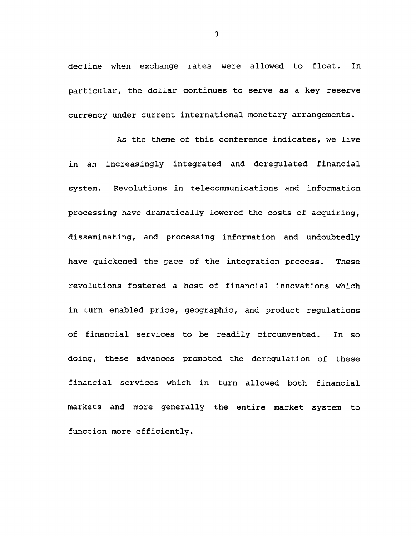**decline when exchange rates were allowed to float. In particular, the dollar continues to serve as a key reserve currency under current international monetary arrangements.**

**As the theme of this conference indicates, we live in an increasingly integrated and deregulated financial system. Revolutions in telecommunications and information processing have dramatically lowered the costs of acquiring, disseminating, and processing information and undoubtedly have quickened the pace of the integration process. These revolutions fostered a host of financial innovations which in turn enabled price, geographic, and product regulations of financial services to be readily circumvented. In so doing, these advances promoted the deregulation of these financial services which in turn allowed both financial markets and more generally the entire market system to function more efficiently.**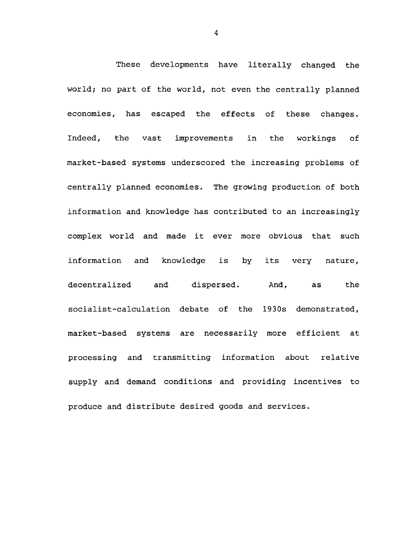**These developments have literally changed the world; no part of the world, not even the centrally planned economies, has escaped the effects of these changes. Indeed, the vast improvements in the workings of market-based systems underscored the increasing problems of centrally planned economies. The growing production of both information and knowledge has contributed to an increasingly complex world and made it ever more obvious that such information and knowledge is by its very nature, decentralized and dispersed. And, as the socialist-calculation debate of the 1930s demonstrated, market-based systems are necessarily more efficient at processing and transmitting information about relative supply and demand conditions and providing incentives to produce and distribute desired goods and services.**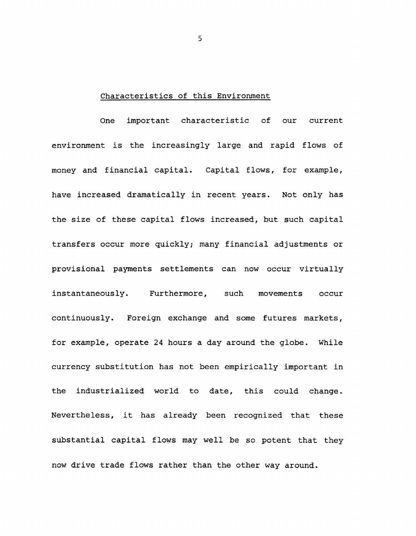### **Characteristics of this Environment**

**One important characteristic of our current environment is the increasingly large and rapid flows of money and financial capital. Capital flows, for example, have increased dramatically in recent years. Not only has the size of these capital flows increased, but such capital transfers occur more quickly; many financial adjustments or provisional payments settlements can now occur virtually instantaneously. Furthermore, such movements occur continuously. Foreign exchange and some futures markets, for example, operate 24 hours a day around the globe. While currency substitution has not been empirically important in the industrialized world to date, this could change. Nevertheless, it has already been recognized that these substantial capital flows may well be so potent that they now drive trade flows rather than the other way around.**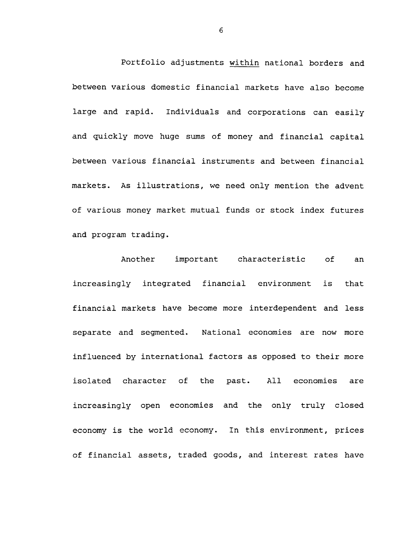**Portfolio adjustments within national borders and between various domestic financial markets have also become large and rapid. Individuals and corporations can easily and quickly move huge sums of money and financial capital between various financial instruments and between financial markets. As illustrations, we need only mention the advent of various money market mutual funds or stock index futures and program trading.**

**Another important characteristic of an increasingly integrated financial environment is that financial markets have become more interdependent and less separate and segmented. National economies are now more influenced by international factors as opposed to their more isolated character of the past. All economies are increasingly open economies and the only truly closed economy is the world economy. In this environment, prices of financial assets, traded goods, and interest rates have**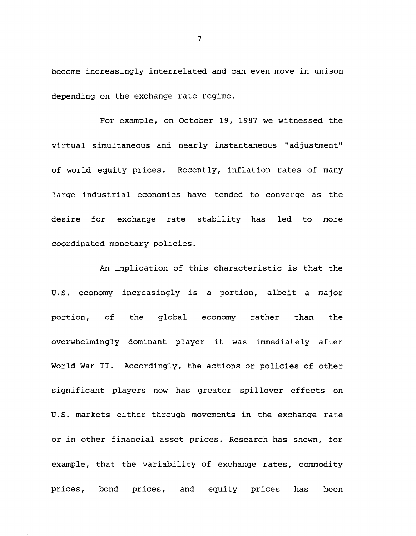**become increasingly interrelated and can even move in unison depending on the exchange rate regime.**

**For example, on October 19, 1987 we witnessed the virtual simultaneous and nearly instantaneous "adjustment" of world equity prices. Recently, inflation rates of many large industrial economies have tended to converge as the desire for exchange rate stability has led to more coordinated monetary policies.**

**An implication of this characteristic is that the U.S. economy increasingly is a portion, albeit a major portion, of the global economy rather than the overwhelmingly dominant player it was immediately after World War II. Accordingly, the actions or policies of other significant players now has greater spillover effects on U.S. markets either through movements in the exchange rate or in other financial asset prices. Research has shown, for example, that the variability of exchange rates, commodity prices, bond prices, and equity prices has been**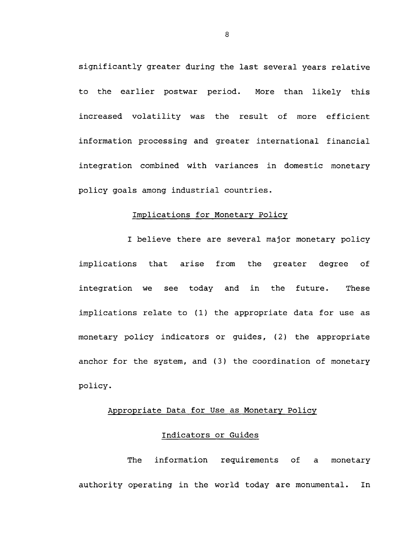**significantly greater during the last several years relative to the earlier postwar period. More than likely this increased volatility was the result of more efficient information processing and greater international financial integration combined with variances in domestic monetary policy goals among industrial countries.**

## **Implications for Monetary Policy**

**I believe there are several major monetary policy implications that arise from the greater degree of integration we see today and in the future. These implications relate to (1) the appropriate data for use as monetary policy indicators or guides, (2) the appropriate anchor for the system, and (3) the coordination of monetary policy.**

# **Appropriate Data for Use as Monetary Policy**

## **Indicators or Guides**

**The information requirements of a monetary authority operating in the world today are monumental. In**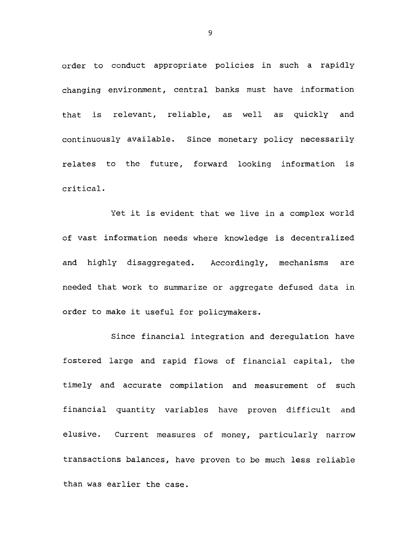**order to conduct appropriate policies in such a rapidlychanging environment, central banks must have information that is relevant, reliable, as well as quickly and continuously available. Since monetary policy necessarily relates to the future, forward looking information is critical.**

**Yet it is evident that we live in a complex world of vast information needs where knowledge is decentralized and highly disaggregated. Accordingly, mechanisms are needed that work to summarize or aggregate defused data in order to make it useful for policymakers.**

**Since financial integration and deregulation have fostered large and rapid flows of financial capital, the timely and accurate compilation and measurement of such financial quantity variables have proven difficult and elusive. Current measures of money, particularly narrow transactions balances, have proven to be much less reliable than was earlier the case.**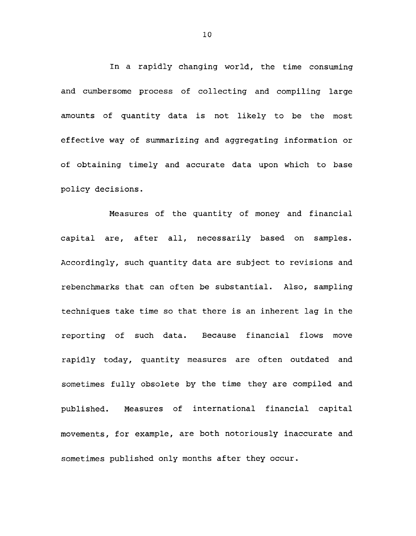**In a rapidly changing world, the time consuming and cumbersome process of collecting and compiling large amounts of quantity data is not likely to be the most effective way of summarizing and aggregating information or of obtaining timely and accurate data upon which to base policy decisions.**

**Measures of the quantity of money and financial capital are, after all, necessarily based on samples. Accordingly, such quantity data are subject to revisions and rebenchmarks that can often be substantial. Also, sampling techniques take time so that there is an inherent lag in the reporting of such data. Because financial flows move rapidly today, quantity measures are often outdated and sometimes fully obsolete by the time they are compiled and published. Measures of international financial capital movements, for example, are both notoriously inaccurate and sometimes published only months after they occur.**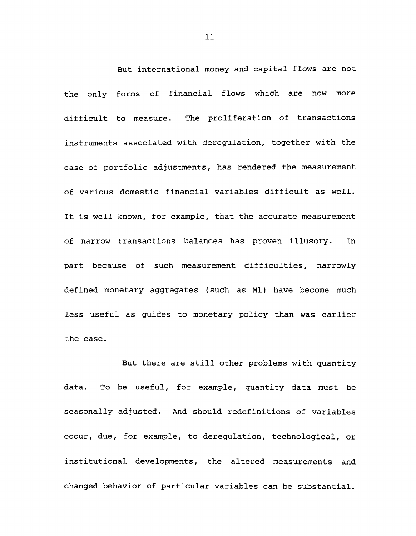**But international money and capital flows are not the only forms of financial flows which are now more difficult to measure. The proliferation of transactions instruments associated with deregulation, together with the ease of portfolio adjustments, has rendered the measurement of various domestic financial variables difficult as well. It is well known, for example, that the accurate measurement of narrow transactions balances has proven illusory. In part because of such measurement difficulties, narrowly defined monetary aggregates (such as Ml) have become much less useful as guides to monetary policy than was earlier the case.**

**But there are still other problems with quantity data. To be useful, for example, quantity data must be seasonally adjusted. And should redefinitions of variables occur, due, for example, to deregulation, technological, or institutional developments, the altered measurements and changed behavior of particular variables can be substantial.**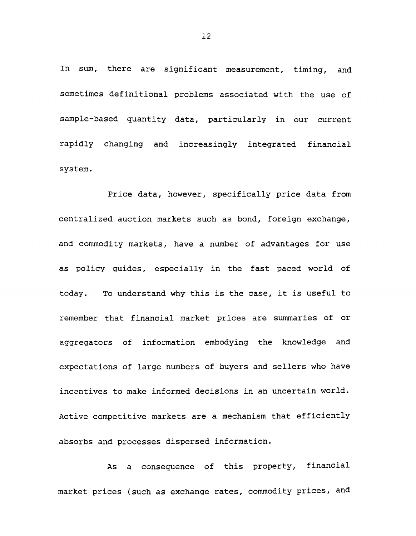**In sum, there are significant measurement, timing, and sometimes definitional problems associated with the use of sample-based quantity data, particularly in our current rapidly changing and increasingly integrated financial system.**

**Price data, however, specifically price data from centralized auction markets such as bond, foreign exchange, and commodity markets, have a number of advantages for use as policy guides, especially in the fast paced world of today. To understand why this is the case, it is useful to remember that financial market prices are summaries of or aggregators of information embodying the knowledge and expectations of large numbers of buyers and sellers who have incentives to make informed decisions in an uncertain world. Active competitive markets are a mechanism that efficiently absorbs and processes dispersed information.**

**As a consequence of this property, financial market prices (such as exchange rates, commodity prices, and**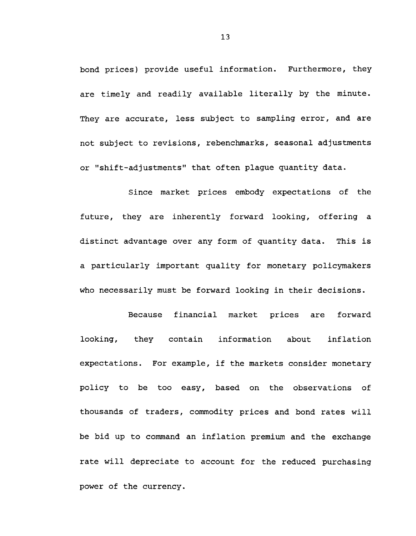**bond prices) provide useful information. Furthermore, they are timely and readily available literally by the minute. They are accurate, less subject to sampling error, and are not subject to revisions, rebenchmarks, seasonal adjustments or "shift-adjustments" that often plague quantity data.**

**Since market prices embody expectations of the future, they are inherently forward looking, offering a distinct advantage over any form of quantity data. This is a particularly important quality for monetary policymakers who necessarily must be forward looking in their decisions.**

**Because financial market prices are forward looking, they contain information about inflation expectations. For example, if the markets consider monetary policy to be too easy, based on the observations of thousands of traders, commodity prices and bond rates will be bid up to command an inflation premium and the exchange rate will depreciate to account for the reduced purchasing power of the currency.**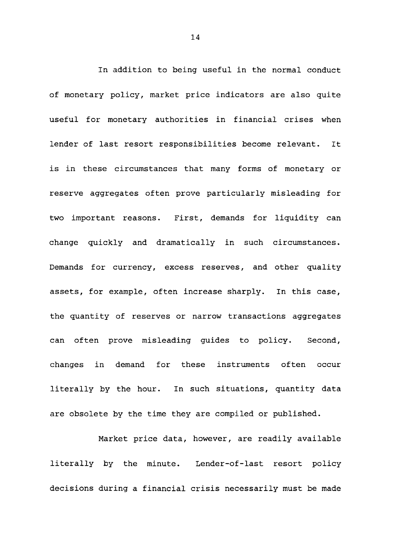**In addition to being useful in the normal conduct of monetary policy, market price indicators are also quite useful for monetary authorities in financial crises when lender of last resort responsibilities become relevant. It is in these circumstances that many forms of monetary or reserve aggregates often prove particularly misleading for two important reasons. First, demands for liquidity can change quickly and dramatically in such circumstances. Demands for currency, excess reserves, and other quality assets, for example, often increase sharply. In this case, the quantity of reserves or narrow transactions aggregates can often prove misleading guides to policy. Second, changes in demand for these instruments often occur literally by the hour. In such situations, quantity data are obsolete by the time they are compiled or published.**

**Market price data, however, are readily available literally by the minute. Lender-of-last resort policy decisions during a financial crisis necessarily must be made**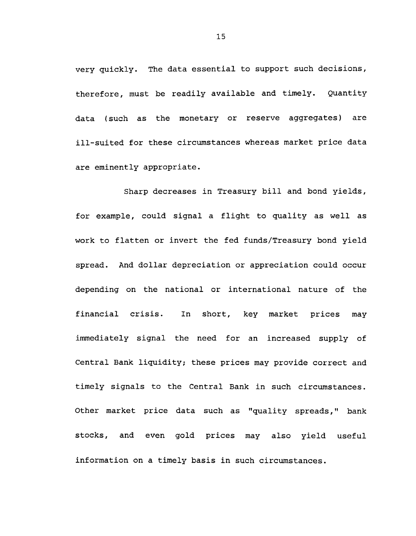**very quickly. The data essential to support such decisions, therefore, must be readily available and timely. Quantity data (such as the monetary or reserve aggregates) are ill-suited for these circumstances whereas market price data are eminently appropriate.**

**Sharp decreases in Treasury bill and bond yields, for example, could signal a flight to quality as well as work to flatten or invert the fed funds/Treasury bond yield spread. And dollar depreciation or appreciation could occur depending on the national or international nature of the financial crisis. In short, key market prices may immediately signal the need for an increased supply of Central Bank liquidity; these prices may provide correct and timely signals to the Central Bank in such circumstances. Other market price data such as "quality spreads," bank stocks, and even gold prices may also yield useful information on a timely basis in such circumstances.**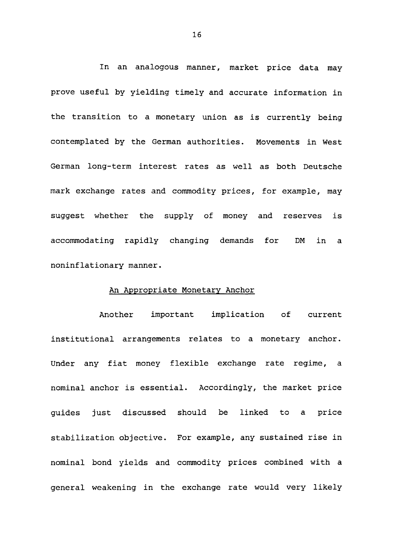**In an analogous manner, market price data may prove useful by yielding timely and accurate information in the transition to a monetary union as is currently being contemplated by the German authorities. Movements in West German long-term interest rates as well as both Deutsche mark exchange rates and commodity prices, for example, may suggest whether the supply of money and reserves is accommodating rapidly changing demands for DM in a noninflationary manner.**

#### **An Appropriate Monetary Anchor**

**Another important implication of current institutional arrangements relates to a monetary anchor. Under any fiat money flexible exchange rate regime, a nominal anchor is essential. Accordingly, the market price guides just discussed should be linked to a price stabilization objective. For example, any sustained rise in nominal bond yields and commodity prices combined with a general weakening in the exchange rate would very likely**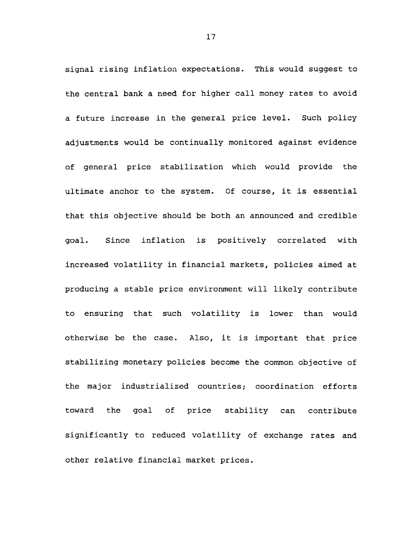**signal rising inflation expectations. This would suggest to the central bank a need for higher call money rates to avoid a future increase in the general price level. Such policy adjustments would be continually monitored against evidence of general price stabilization which would provide the ultimate anchor to the system. Of course, it is essential that this objective should be both an announced and credible goal. Since inflation is positively correlated with increased volatility in financial markets, policies aimed at producing a stable price environment will likely contribute to ensuring that such volatility is lower than would otherwise be the case. Also, it is important that price stabilizing monetary policies become the common objective of the major industrialized countries; coordination efforts toward the goal of price stability can contribute significantly to reduced volatility of exchange rates and other relative financial market prices.**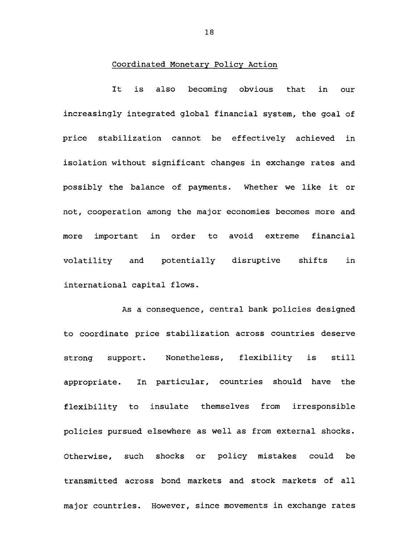### **Coordinated Monetary Policy Action**

**It is also becoming obvious that in our increasingly integrated global financial system, the goal of price stabilization cannot be effectively achieved in isolation without significant changes in exchange rates and possibly the balance of payments. Whether we like it or not, cooperation among the major economies becomes more and more important in order to avoid extreme financial volatility and potentially disruptive shifts in international capital flows.**

**As a consequence, central bank policies designed to coordinate price stabilization across countries deserve strong support. Nonetheless, flexibility is still appropriate. In particular, countries should have the flexibility to insulate themselves from irresponsible policies pursued elsewhere as well as from external shocks. Otherwise, such shocks or policy mistakes could be transmitted across bond markets and stock markets of all major countries. However, since movements in exchange rates**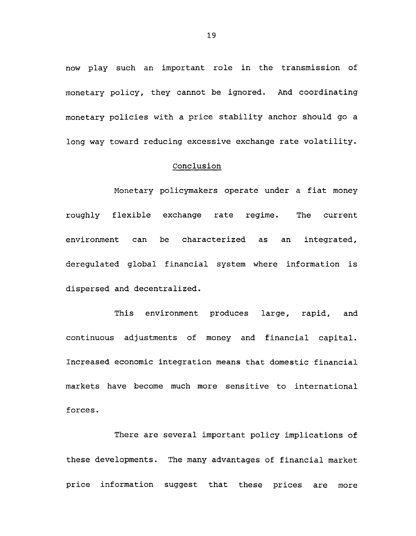**now play such an important role in the transmission of monetary policy, they cannot be ignored. And coordinating monetary policies with a price stability anchor should go a long way toward reducing excessive exchange rate volatility.**

## **Conclusion**

**Monetary policymakers operate under a fiat money roughly flexible exchange rate regime. The current environment can be characterized as an integrated, deregulated global financial system where information is dispersed and decentralized.**

**This environment produces large, rapid, and continuous adjustments of money and financial capital. Increased economic integration means that domestic financial markets have become much more sensitive to international forces.**

**There are several important policy implications of these developments. The many advantages of financial market price information suggest that these prices are more**